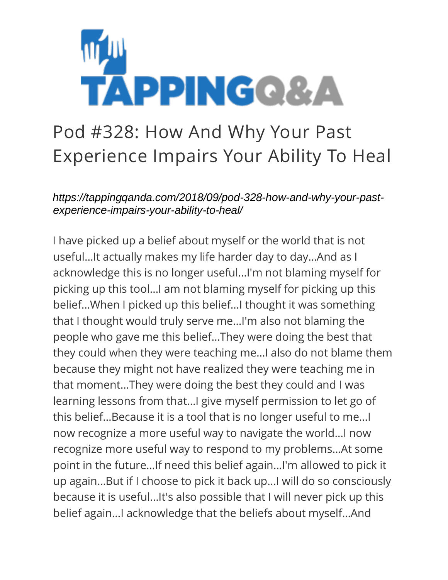

## Pod #328: How And Why Your Past Experience Impairs Your Ability To Heal

*https://tappingqanda.com/2018/09/pod-328-how-and-why-your-pastexperience-impairs-your-ability-to-heal/*

I have picked up a belief about myself or the world that is not useful…It actually makes my life harder day to day…And as I acknowledge this is no longer useful…I'm not blaming myself for picking up this tool…I am not blaming myself for picking up this belief…When I picked up this belief…I thought it was something that I thought would truly serve me…I'm also not blaming the people who gave me this belief…They were doing the best that they could when they were teaching me…I also do not blame them because they might not have realized they were teaching me in that moment…They were doing the best they could and I was learning lessons from that…I give myself permission to let go of this belief…Because it is a tool that is no longer useful to me…I now recognize a more useful way to navigate the world…I now recognize more useful way to respond to my problems…At some point in the future…If need this belief again…I'm allowed to pick it up again…But if I choose to pick it back up…I will do so consciously because it is useful…It's also possible that I will never pick up this belief again…I acknowledge that the beliefs about myself…And